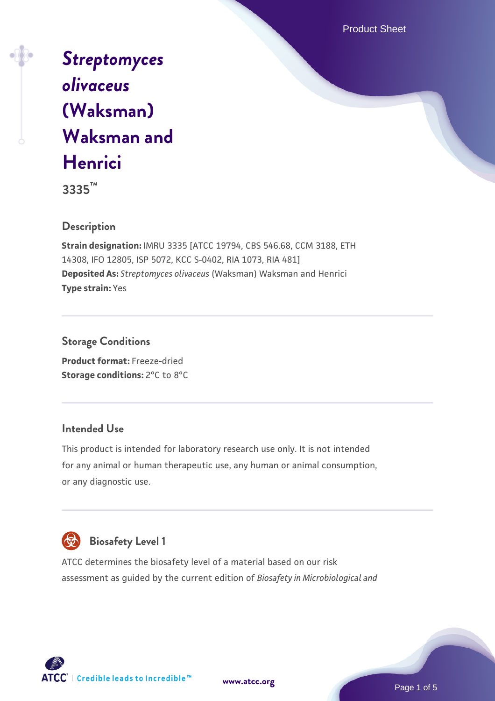Product Sheet

# *[Streptomyces](https://www.atcc.org/products/3335) [olivaceus](https://www.atcc.org/products/3335)* **[\(Waksman\)](https://www.atcc.org/products/3335) [Waksman and](https://www.atcc.org/products/3335) [Henrici](https://www.atcc.org/products/3335)**

**3335™**

# **Description**

**Strain designation:** IMRU 3335 [ATCC 19794, CBS 546.68, CCM 3188, ETH 14308, IFO 12805, ISP 5072, KCC S-0402, RIA 1073, RIA 481] **Deposited As:** *Streptomyces olivaceus* (Waksman) Waksman and Henrici **Type strain:** Yes

**Storage Conditions Product format:** Freeze-dried

**Storage conditions:** 2°C to 8°C

#### **Intended Use**

This product is intended for laboratory research use only. It is not intended for any animal or human therapeutic use, any human or animal consumption, or any diagnostic use.



# **Biosafety Level 1**

ATCC determines the biosafety level of a material based on our risk assessment as guided by the current edition of *Biosafety in Microbiological and*

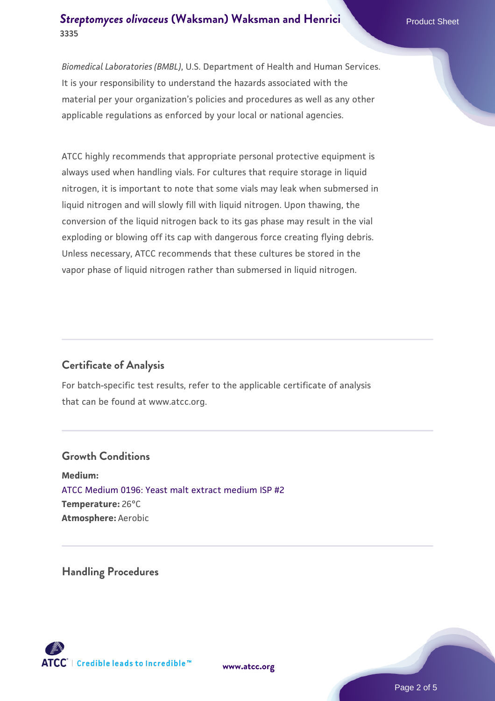# **[Streptomyces olivaceus](https://www.atcc.org/products/3335) [\(Waksman\) Waksman and Henrici](https://www.atcc.org/products/3335) Product Sheet 3335**

*Biomedical Laboratories (BMBL)*, U.S. Department of Health and Human Services. It is your responsibility to understand the hazards associated with the material per your organization's policies and procedures as well as any other applicable regulations as enforced by your local or national agencies.

ATCC highly recommends that appropriate personal protective equipment is always used when handling vials. For cultures that require storage in liquid nitrogen, it is important to note that some vials may leak when submersed in liquid nitrogen and will slowly fill with liquid nitrogen. Upon thawing, the conversion of the liquid nitrogen back to its gas phase may result in the vial exploding or blowing off its cap with dangerous force creating flying debris. Unless necessary, ATCC recommends that these cultures be stored in the vapor phase of liquid nitrogen rather than submersed in liquid nitrogen.

# **Certificate of Analysis**

For batch-specific test results, refer to the applicable certificate of analysis that can be found at www.atcc.org.

#### **Growth Conditions**

**Medium:**  [ATCC Medium 0196: Yeast malt extract medium ISP #2](https://www.atcc.org/-/media/product-assets/documents/microbial-media-formulations/1/9/6/atcc-medium-0196.pdf?rev=3ab98ce3034f46208b34017336aa4c86) **Temperature:** 26°C **Atmosphere:** Aerobic

**Handling Procedures**



**[www.atcc.org](http://www.atcc.org)**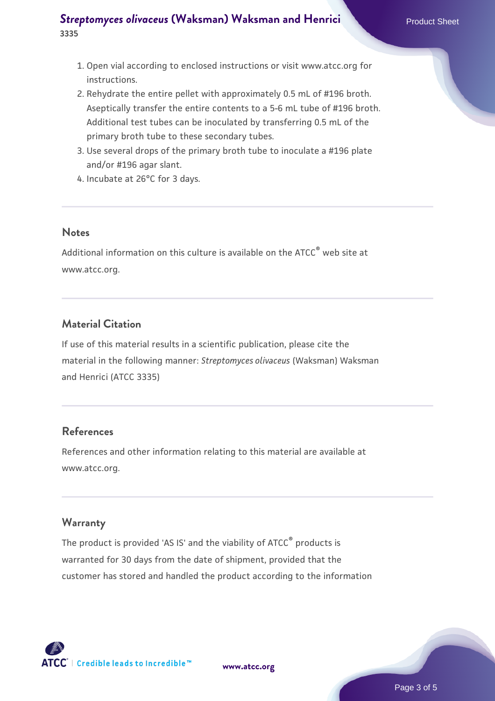# **[Streptomyces olivaceus](https://www.atcc.org/products/3335) [\(Waksman\) Waksman and Henrici](https://www.atcc.org/products/3335) Product Sheet 3335**

- 1. Open vial according to enclosed instructions or visit www.atcc.org for instructions.
- 2. Rehydrate the entire pellet with approximately 0.5 mL of #196 broth. Aseptically transfer the entire contents to a 5-6 mL tube of #196 broth. Additional test tubes can be inoculated by transferring 0.5 mL of the primary broth tube to these secondary tubes.
- 3. Use several drops of the primary broth tube to inoculate a #196 plate  $\,$ and/or #196 agar slant.
- 4. Incubate at 26°C for 3 days.

#### **Notes**

Additional information on this culture is available on the ATCC<sup>®</sup> web site at www.atcc.org.

# **Material Citation**

If use of this material results in a scientific publication, please cite the material in the following manner: *Streptomyces olivaceus* (Waksman) Waksman and Henrici (ATCC 3335)

#### **References**

References and other information relating to this material are available at www.atcc.org.

#### **Warranty**

The product is provided 'AS IS' and the viability of ATCC<sup>®</sup> products is warranted for 30 days from the date of shipment, provided that the customer has stored and handled the product according to the information



**[www.atcc.org](http://www.atcc.org)**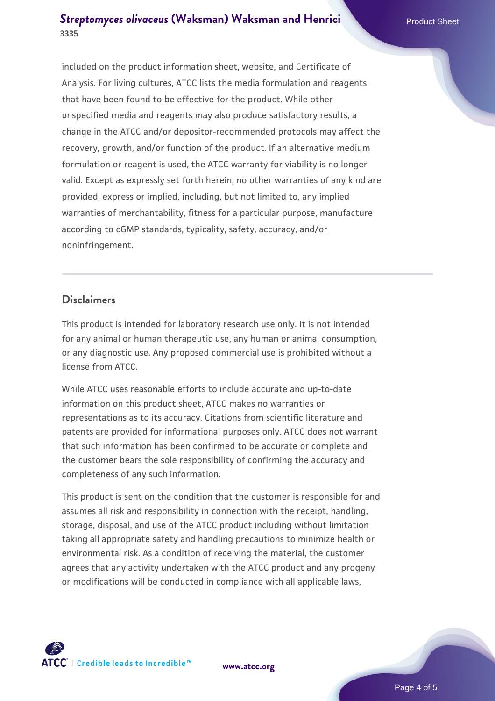# **[Streptomyces olivaceus](https://www.atcc.org/products/3335) [\(Waksman\) Waksman and Henrici](https://www.atcc.org/products/3335) Product Sheet 3335**

included on the product information sheet, website, and Certificate of Analysis. For living cultures, ATCC lists the media formulation and reagents that have been found to be effective for the product. While other unspecified media and reagents may also produce satisfactory results, a change in the ATCC and/or depositor-recommended protocols may affect the recovery, growth, and/or function of the product. If an alternative medium formulation or reagent is used, the ATCC warranty for viability is no longer valid. Except as expressly set forth herein, no other warranties of any kind are provided, express or implied, including, but not limited to, any implied warranties of merchantability, fitness for a particular purpose, manufacture according to cGMP standards, typicality, safety, accuracy, and/or noninfringement.

#### **Disclaimers**

This product is intended for laboratory research use only. It is not intended for any animal or human therapeutic use, any human or animal consumption, or any diagnostic use. Any proposed commercial use is prohibited without a license from ATCC.

While ATCC uses reasonable efforts to include accurate and up-to-date information on this product sheet, ATCC makes no warranties or representations as to its accuracy. Citations from scientific literature and patents are provided for informational purposes only. ATCC does not warrant that such information has been confirmed to be accurate or complete and the customer bears the sole responsibility of confirming the accuracy and completeness of any such information.

This product is sent on the condition that the customer is responsible for and assumes all risk and responsibility in connection with the receipt, handling, storage, disposal, and use of the ATCC product including without limitation taking all appropriate safety and handling precautions to minimize health or environmental risk. As a condition of receiving the material, the customer agrees that any activity undertaken with the ATCC product and any progeny or modifications will be conducted in compliance with all applicable laws,



**[www.atcc.org](http://www.atcc.org)**

Page 4 of 5